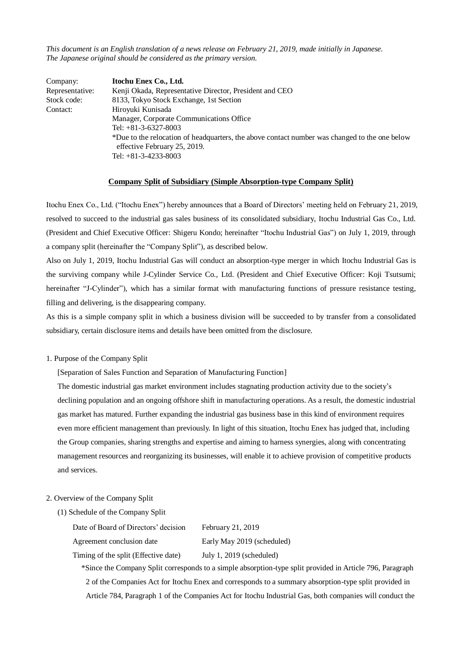*This document is an English translation of a news release on February 21, 2019, made initially in Japanese. The Japanese original should be considered as the primary version.*

| Company:        | Itochu Enex Co., Ltd.                                                                                                                                   |  |  |
|-----------------|---------------------------------------------------------------------------------------------------------------------------------------------------------|--|--|
| Representative: | Kenji Okada, Representative Director, President and CEO                                                                                                 |  |  |
| Stock code:     | 8133, Tokyo Stock Exchange, 1st Section                                                                                                                 |  |  |
| Contact:        | Hiroyuki Kunisada                                                                                                                                       |  |  |
|                 | Manager, Corporate Communications Office                                                                                                                |  |  |
|                 | Tel: $+81-3-6327-8003$                                                                                                                                  |  |  |
|                 | *Due to the relocation of headquarters, the above contact number was changed to the one below<br>effective February 25, 2019.<br>Tel: $+81-3-4233-8003$ |  |  |

#### **Company Split of Subsidiary (Simple Absorption-type Company Split)**

Itochu Enex Co., Ltd. ("Itochu Enex") hereby announces that a Board of Directors' meeting held on February 21, 2019, resolved to succeed to the industrial gas sales business of its consolidated subsidiary, Itochu Industrial Gas Co., Ltd. (President and Chief Executive Officer: Shigeru Kondo; hereinafter "Itochu Industrial Gas") on July 1, 2019, through a company split (hereinafter the "Company Split"), as described below.

Also on July 1, 2019, Itochu Industrial Gas will conduct an absorption-type merger in which Itochu Industrial Gas is the surviving company while J-Cylinder Service Co., Ltd. (President and Chief Executive Officer: Koji Tsutsumi; hereinafter "J-Cylinder"), which has a similar format with manufacturing functions of pressure resistance testing, filling and delivering, is the disappearing company.

As this is a simple company split in which a business division will be succeeded to by transfer from a consolidated subsidiary, certain disclosure items and details have been omitted from the disclosure.

### 1. Purpose of the Company Split

[Separation of Sales Function and Separation of Manufacturing Function]

The domestic industrial gas market environment includes stagnating production activity due to the society's declining population and an ongoing offshore shift in manufacturing operations. As a result, the domestic industrial gas market has matured. Further expanding the industrial gas business base in this kind of environment requires even more efficient management than previously. In light of this situation, Itochu Enex has judged that, including the Group companies, sharing strengths and expertise and aiming to harness synergies, along with concentrating management resources and reorganizing its businesses, will enable it to achieve provision of competitive products and services.

### 2. Overview of the Company Split

(1) Schedule of the Company Split

| Date of Board of Directors' decision | February 21, 2019          |
|--------------------------------------|----------------------------|
| Agreement conclusion date            | Early May 2019 (scheduled) |
| Timing of the split (Effective date) | July 1, $2019$ (scheduled) |

\*Since the Company Split corresponds to a simple absorption-type split provided in Article 796, Paragraph 2 of the Companies Act for Itochu Enex and corresponds to a summary absorption-type split provided in Article 784, Paragraph 1 of the Companies Act for Itochu Industrial Gas, both companies will conduct the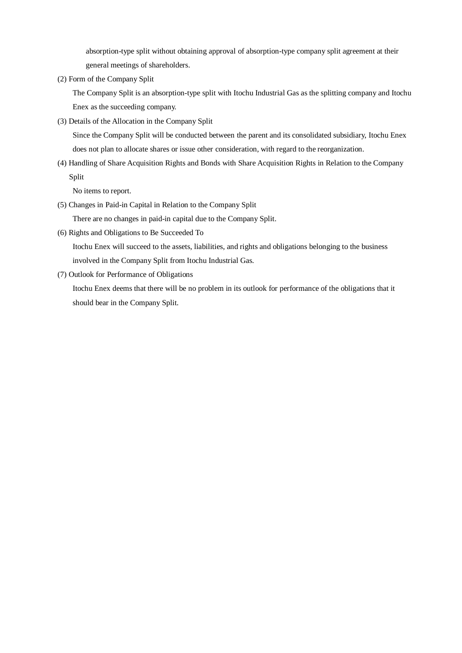absorption-type split without obtaining approval of absorption-type company split agreement at their general meetings of shareholders.

(2) Form of the Company Split

The Company Split is an absorption-type split with Itochu Industrial Gas as the splitting company and Itochu Enex as the succeeding company.

(3) Details of the Allocation in the Company Split

Since the Company Split will be conducted between the parent and its consolidated subsidiary, Itochu Enex does not plan to allocate shares or issue other consideration, with regard to the reorganization.

(4) Handling of Share Acquisition Rights and Bonds with Share Acquisition Rights in Relation to the Company Split

No items to report.

(5) Changes in Paid-in Capital in Relation to the Company Split

There are no changes in paid-in capital due to the Company Split.

(6) Rights and Obligations to Be Succeeded To

Itochu Enex will succeed to the assets, liabilities, and rights and obligations belonging to the business involved in the Company Split from Itochu Industrial Gas.

(7) Outlook for Performance of Obligations

Itochu Enex deems that there will be no problem in its outlook for performance of the obligations that it should bear in the Company Split.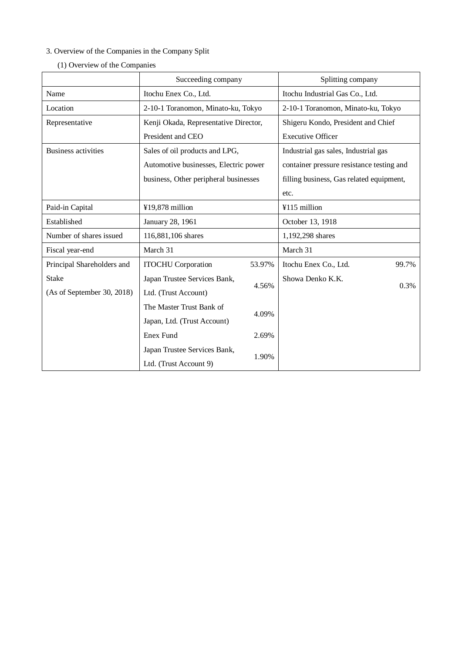# 3. Overview of the Companies in the Company Split

|                                              | Succeeding company                    |        | Splitting company                         |  |
|----------------------------------------------|---------------------------------------|--------|-------------------------------------------|--|
| Name                                         | Itochu Enex Co., Ltd.                 |        | Itochu Industrial Gas Co., Ltd.           |  |
| Location                                     | 2-10-1 Toranomon, Minato-ku, Tokyo    |        | 2-10-1 Toranomon, Minato-ku, Tokyo        |  |
| Representative                               | Kenji Okada, Representative Director, |        | Shigeru Kondo, President and Chief        |  |
|                                              | President and CEO                     |        | <b>Executive Officer</b>                  |  |
| <b>Business activities</b>                   | Sales of oil products and LPG,        |        | Industrial gas sales, Industrial gas      |  |
|                                              | Automotive businesses, Electric power |        | container pressure resistance testing and |  |
|                                              | business, Other peripheral businesses |        | filling business, Gas related equipment,  |  |
|                                              |                                       |        | etc.                                      |  |
| Paid-in Capital                              | ¥19,878 million                       |        | ¥115 million                              |  |
| Established                                  | January 28, 1961                      |        | October 13, 1918                          |  |
| Number of shares issued                      | 116,881,106 shares                    |        | 1,192,298 shares                          |  |
| Fiscal year-end                              | March 31                              |        | March 31                                  |  |
| Principal Shareholders and                   | <b>ITOCHU</b> Corporation             | 53.97% | 99.7%<br>Itochu Enex Co., Ltd.            |  |
| <b>Stake</b><br>Japan Trustee Services Bank, |                                       |        | Showa Denko K.K.<br>0.3%                  |  |
| (As of September 30, 2018)                   | Ltd. (Trust Account)                  | 4.56%  |                                           |  |
|                                              | The Master Trust Bank of              |        |                                           |  |
|                                              | Japan, Ltd. (Trust Account)           | 4.09%  |                                           |  |
|                                              | <b>Enex Fund</b>                      | 2.69%  |                                           |  |
|                                              | Japan Trustee Services Bank,          |        |                                           |  |
|                                              | 1.90%<br>Ltd. (Trust Account 9)       |        |                                           |  |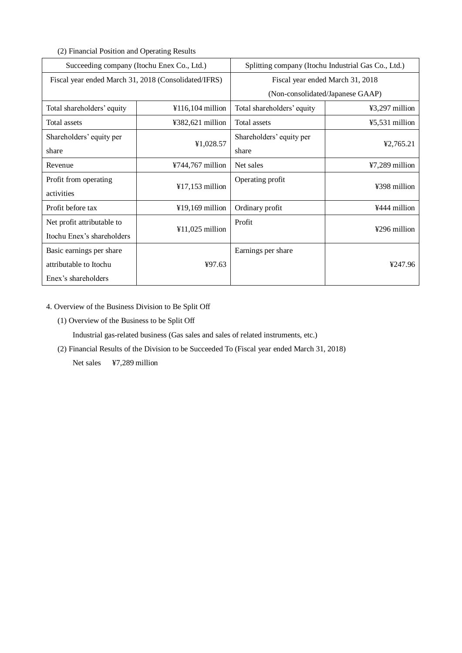(2) Financial Position and Operating Results

| Succeeding company (Itochu Enex Co., Ltd.)           |                    | Splitting company (Itochu Industrial Gas Co., Ltd.) |                  |
|------------------------------------------------------|--------------------|-----------------------------------------------------|------------------|
| Fiscal year ended March 31, 2018 (Consolidated/IFRS) |                    | Fiscal year ended March 31, 2018                    |                  |
|                                                      |                    | (Non-consolidated/Japanese GAAP)                    |                  |
| Total shareholders' equity                           | $¥116,104$ million | Total shareholders' equity                          | ¥3,297 million   |
| Total assets                                         | ¥382,621 million   | Total assets                                        | $45,531$ million |
| Shareholders' equity per                             |                    | Shareholders' equity per                            |                  |
| share                                                | ¥1,028.57          | share                                               | ¥2,765.21        |
| Revenue                                              | ¥744,767 million   | Net sales                                           | ¥7,289 million   |
| Profit from operating                                |                    | Operating profit                                    | ¥398 million     |
| activities                                           | $¥17,153$ million  |                                                     |                  |
| Profit before tax                                    | $¥19,169$ million  | Ordinary profit                                     | ¥444 million     |
| Net profit attributable to                           |                    | Profit                                              | ¥296 million     |
| Itochu Enex's shareholders                           | $¥11,025$ million  |                                                     |                  |
| Basic earnings per share                             |                    | Earnings per share                                  |                  |
| attributable to Itochu                               | 497.63             |                                                     | ¥247.96          |
| Enex's shareholders                                  |                    |                                                     |                  |

4. Overview of the Business Division to Be Split Off

(1) Overview of the Business to be Split Off

Industrial gas-related business (Gas sales and sales of related instruments, etc.)

(2) Financial Results of the Division to be Succeeded To (Fiscal year ended March 31, 2018)

Net sales ¥7,289 million